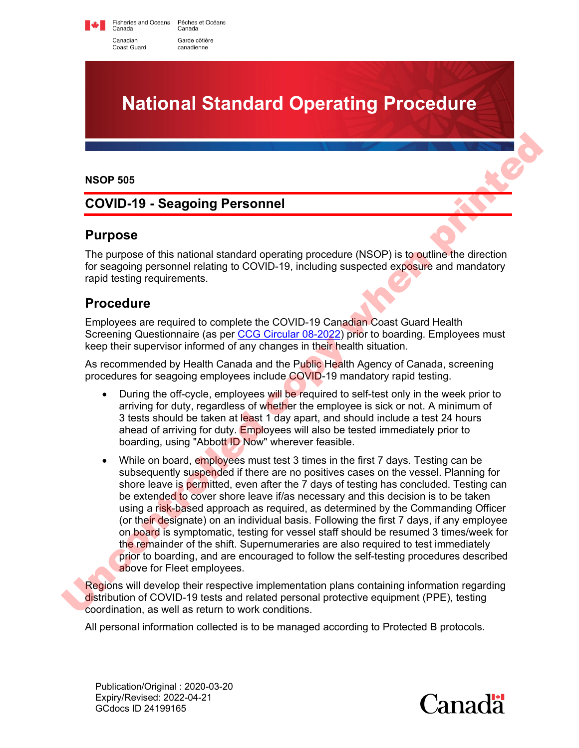Fisheries and Oceans Pêches et Océans<br>Canada Canada Canadian Garde côtière Coast Guard canadienne



#### **NSOP 505**

### **COVID-19 - Seagoing Personnel**

#### **Purpose**

The purpose of this national standard operating procedure (NSOP) is to outline the direction for seagoing personnel relating to COVID-19, including suspected exposure and mandatory rapid testing requirements. **notated as a comparison of the Comparison Control of the Coven State State State State State State State State State State State State State State State State State State State State State State State State State State St** 

### **Procedure**

Employees are required to complete the COVID-19 Canadian Coast Guard Health Screening Questionnaire (as per [CCG Circular 08-2022\)](https://www.ccg-gcc.gc.ca/publications/circular-circulaire/08-2022-eng.html) prior to boarding. Employees must keep their supervisor informed of any changes in their health situation.

As recommended by Health Canada and the Public Health Agency of Canada, screening procedures for seagoing employees include COVID-19 mandatory rapid testing.

- During the off-cycle, employees will be required to self-test only in the week prior to arriving for duty, regardless of whether the employee is sick or not. A minimum of 3 tests should be taken at least 1 day apart, and should include a test 24 hours ahead of arriving for duty. Employees will also be tested immediately prior to boarding, using "Abbott ID Now" wherever feasible.
- While on board, employees must test 3 times in the first 7 days. Testing can be subsequently suspended if there are no positives cases on the vessel. Planning for shore leave is permitted, even after the 7 days of testing has concluded. Testing can be extended to cover shore leave if/as necessary and this decision is to be taken using a risk-based approach as required, as determined by the Commanding Officer (or their designate) on an individual basis. Following the first 7 days, if any employee on board is symptomatic, testing for vessel staff should be resumed 3 times/week for the remainder of the shift. Supernumeraries are also required to test immediately prior to boarding, and are encouraged to follow the self-testing procedures described above for Fleet employees. 3 tests should be taken at least 1 d<br>ahead of arriving for duty. Employe<br>boarding, using "Abbott ID Now" wl<br>• While on board, employees must te<br>subsequently suspended if there at<br>shore leave is permitted, even after<br>be ext

Regions will develop their respective implementation plans containing information regarding distribution of COVID-19 tests and related personal protective equipment (PPE), testing coordination, as well as return to work conditions.

All personal information collected is to be managed according to Protected B protocols.

Publication/Original : 2020-03-20 Expiry/Revised: 2022-04-21 GCdocs ID 24199165

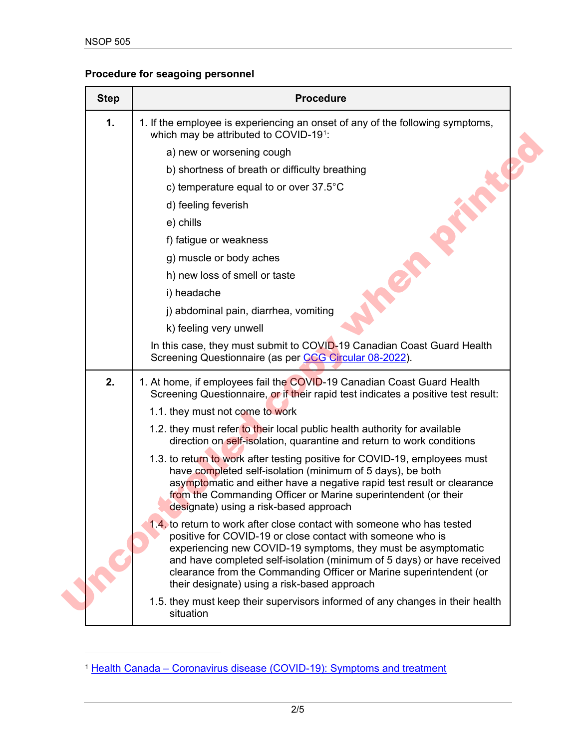## **Procedure for seagoing personnel**

| <b>Step</b> | <b>Procedure</b>                                                                                                                                                                                                                                                                                                                                                                                      |
|-------------|-------------------------------------------------------------------------------------------------------------------------------------------------------------------------------------------------------------------------------------------------------------------------------------------------------------------------------------------------------------------------------------------------------|
| 1.          | 1. If the employee is experiencing an onset of any of the following symptoms,<br>which may be attributed to COVID-191:                                                                                                                                                                                                                                                                                |
|             | a) new or worsening cough                                                                                                                                                                                                                                                                                                                                                                             |
|             | b) shortness of breath or difficulty breathing                                                                                                                                                                                                                                                                                                                                                        |
|             | c) temperature equal to or over 37.5°C                                                                                                                                                                                                                                                                                                                                                                |
|             | d) feeling feverish                                                                                                                                                                                                                                                                                                                                                                                   |
|             | e) chills                                                                                                                                                                                                                                                                                                                                                                                             |
|             | f) fatigue or weakness                                                                                                                                                                                                                                                                                                                                                                                |
|             | g) muscle or body aches                                                                                                                                                                                                                                                                                                                                                                               |
|             | h) new loss of smell or taste                                                                                                                                                                                                                                                                                                                                                                         |
|             | i) headache                                                                                                                                                                                                                                                                                                                                                                                           |
|             | j) abdominal pain, diarrhea, vomiting                                                                                                                                                                                                                                                                                                                                                                 |
|             | k) feeling very unwell                                                                                                                                                                                                                                                                                                                                                                                |
|             | In this case, they must submit to COVID-19 Canadian Coast Guard Health<br>Screening Questionnaire (as per CCG Circular 08-2022).                                                                                                                                                                                                                                                                      |
| 2.          | 1. At home, if employees fail the COVID-19 Canadian Coast Guard Health<br>Screening Questionnaire, or if their rapid test indicates a positive test result:                                                                                                                                                                                                                                           |
|             | 1.1. they must not come to work                                                                                                                                                                                                                                                                                                                                                                       |
|             | 1.2. they must refer to their local public health authority for available<br>direction on self-isolation, quarantine and return to work conditions                                                                                                                                                                                                                                                    |
|             | 1.3. to return to work after testing positive for COVID-19, employees must<br>have completed self-isolation (minimum of 5 days), be both<br>asymptomatic and either have a negative rapid test result or clearance<br>from the Commanding Officer or Marine superintendent (or their<br>designate) using a risk-based approach                                                                        |
|             | 1.4. to return to work after close contact with someone who has tested<br>positive for COVID-19 or close contact with someone who is<br>experiencing new COVID-19 symptoms, they must be asymptomatic<br>and have completed self-isolation (minimum of 5 days) or have received<br>clearance from the Commanding Officer or Marine superintendent (or<br>their designate) using a risk-based approach |
|             | 1.5. they must keep their supervisors informed of any changes in their health<br>situation                                                                                                                                                                                                                                                                                                            |

<span id="page-1-0"></span><sup>&</sup>lt;sup>1</sup> [Health Canada – Coronavirus disease \(COVID-19\): Symptoms and treatment](https://www.canada.ca/en/public-health/services/diseases/2019-novel-coronavirus-infection/symptoms.html)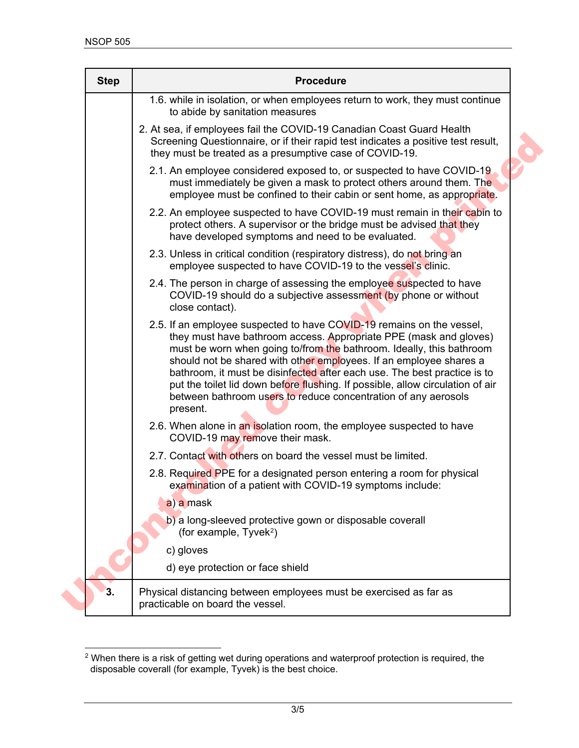| <b>Step</b> | <b>Procedure</b>                                                                                                                                                                                                                                                                                                                                                                                                                                                                                                                     |
|-------------|--------------------------------------------------------------------------------------------------------------------------------------------------------------------------------------------------------------------------------------------------------------------------------------------------------------------------------------------------------------------------------------------------------------------------------------------------------------------------------------------------------------------------------------|
|             | 1.6. while in isolation, or when employees return to work, they must continue<br>to abide by sanitation measures                                                                                                                                                                                                                                                                                                                                                                                                                     |
|             | 2. At sea, if employees fail the COVID-19 Canadian Coast Guard Health<br>Screening Questionnaire, or if their rapid test indicates a positive test result,<br>they must be treated as a presumptive case of COVID-19.                                                                                                                                                                                                                                                                                                                |
|             | 2.1. An employee considered exposed to, or suspected to have COVID-19<br>must immediately be given a mask to protect others around them. The<br>employee must be confined to their cabin or sent home, as appropriate.                                                                                                                                                                                                                                                                                                               |
|             | 2.2. An employee suspected to have COVID-19 must remain in their cabin to<br>protect others. A supervisor or the bridge must be advised that they<br>have developed symptoms and need to be evaluated.                                                                                                                                                                                                                                                                                                                               |
|             | 2.3. Unless in critical condition (respiratory distress), do not bring an<br>employee suspected to have COVID-19 to the vessel's clinic.                                                                                                                                                                                                                                                                                                                                                                                             |
|             | 2.4. The person in charge of assessing the employee suspected to have<br>COVID-19 should do a subjective assessment (by phone or without<br>close contact).                                                                                                                                                                                                                                                                                                                                                                          |
|             | 2.5. If an employee suspected to have COVID-19 remains on the vessel,<br>they must have bathroom access. Appropriate PPE (mask and gloves)<br>must be worn when going to/from the bathroom. Ideally, this bathroom<br>should not be shared with other employees. If an employee shares a<br>bathroom, it must be disinfected after each use. The best practice is to<br>put the toilet lid down before flushing. If possible, allow circulation of air<br>between bathroom users to reduce concentration of any aerosols<br>present. |
|             | 2.6. When alone in an isolation room, the employee suspected to have<br>COVID-19 may remove their mask.                                                                                                                                                                                                                                                                                                                                                                                                                              |
|             | 2.7. Contact with others on board the vessel must be limited.                                                                                                                                                                                                                                                                                                                                                                                                                                                                        |
|             | 2.8. Required PPE for a designated person entering a room for physical<br>examination of a patient with COVID-19 symptoms include:                                                                                                                                                                                                                                                                                                                                                                                                   |
|             | a) a mask                                                                                                                                                                                                                                                                                                                                                                                                                                                                                                                            |
|             | b) a long-sleeved protective gown or disposable coverall<br>(for example, $Tyvek^2$ )                                                                                                                                                                                                                                                                                                                                                                                                                                                |
|             | c) gloves                                                                                                                                                                                                                                                                                                                                                                                                                                                                                                                            |
|             |                                                                                                                                                                                                                                                                                                                                                                                                                                                                                                                                      |

<span id="page-2-0"></span> $^{\rm 2}$  When there is a risk of getting wet during operations and waterproof protection is required, the disposable coverall (for example, Tyvek) is the best choice.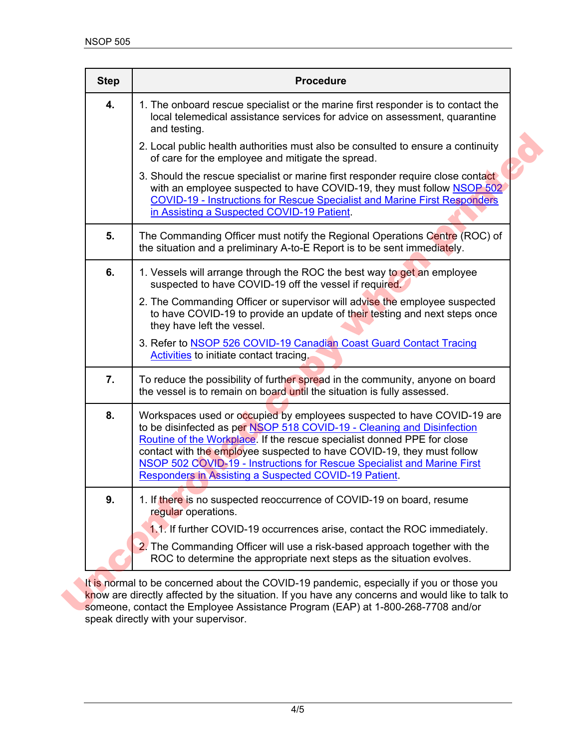| <b>Step</b><br>4. | <b>Procedure</b><br>1. The onboard rescue specialist or the marine first responder is to contact the<br>local telemedical assistance services for advice on assessment, quarantine<br>and testing.                                                                                                                                                                                                                                                |
|-------------------|---------------------------------------------------------------------------------------------------------------------------------------------------------------------------------------------------------------------------------------------------------------------------------------------------------------------------------------------------------------------------------------------------------------------------------------------------|
|                   | 2. Local public health authorities must also be consulted to ensure a continuity<br>of care for the employee and mitigate the spread.                                                                                                                                                                                                                                                                                                             |
|                   | 3. Should the rescue specialist or marine first responder require close contact<br>with an employee suspected to have COVID-19, they must follow NSOP 502<br><b>COVID-19 - Instructions for Rescue Specialist and Marine First Responders</b><br>in Assisting a Suspected COVID-19 Patient.                                                                                                                                                       |
| 5.                | The Commanding Officer must notify the Regional Operations Centre (ROC) of<br>the situation and a preliminary A-to-E Report is to be sent immediately.                                                                                                                                                                                                                                                                                            |
| 6.                | 1. Vessels will arrange through the ROC the best way to get an employee<br>suspected to have COVID-19 off the vessel if required.                                                                                                                                                                                                                                                                                                                 |
|                   | 2. The Commanding Officer or supervisor will advise the employee suspected<br>to have COVID-19 to provide an update of their testing and next steps once<br>they have left the vessel.                                                                                                                                                                                                                                                            |
|                   | 3. Refer to NSOP 526 COVID-19 Canadian Coast Guard Contact Tracing<br><b>Activities</b> to initiate contact tracing.                                                                                                                                                                                                                                                                                                                              |
| 7.                | To reduce the possibility of further spread in the community, anyone on board<br>the vessel is to remain on board until the situation is fully assessed.                                                                                                                                                                                                                                                                                          |
| 8.                | Workspaces used or occupied by employees suspected to have COVID-19 are<br>to be disinfected as per NSOP 518 COVID-19 - Cleaning and Disinfection<br>Routine of the Workplace. If the rescue specialist donned PPE for close<br>contact with the employee suspected to have COVID-19, they must follow<br><b>NSOP 502 COVID-19 - Instructions for Rescue Specialist and Marine First</b><br>Responders in Assisting a Suspected COVID-19 Patient. |
| 9.                | 1. If there is no suspected reoccurrence of COVID-19 on board, resume<br>regular operations.                                                                                                                                                                                                                                                                                                                                                      |
|                   | 1.1. If further COVID-19 occurrences arise, contact the ROC immediately.<br>2. The Commanding Officer will use a risk-based approach together with the<br>ROC to determine the appropriate next steps as the situation evolves.                                                                                                                                                                                                                   |

It is normal to be concerned about the COVID-19 pandemic, especially if you or those you know are directly affected by the situation. If you have any concerns and would like to talk to speak directly with your supervisor.